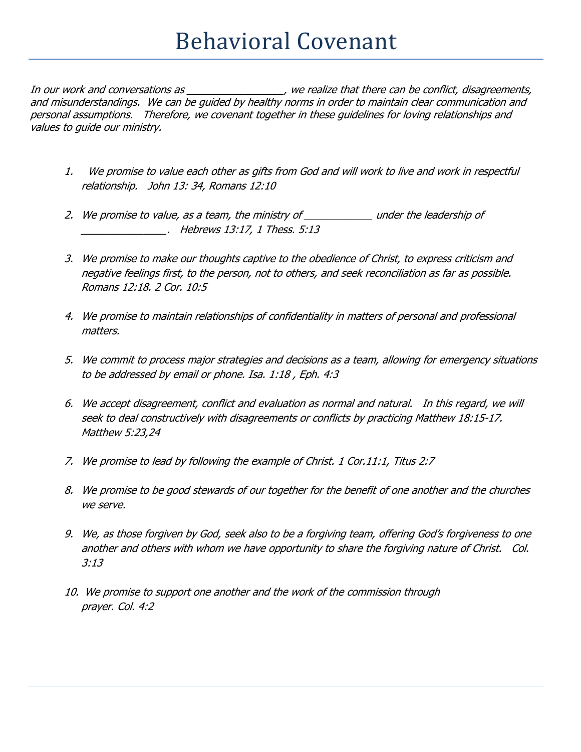In our work and conversations as \_\_\_\_\_\_\_\_\_\_\_\_\_\_\_, we realize that there can be conflict, disagreements, and misunderstandings. We can be guided by healthy norms in order to maintain clear communication and personal assumptions. Therefore, we covenant together in these guidelines for loving relationships and values to guide our ministry.

- 1. We promise to value each other as gifts from God and will work to live and work in respectful relationship. John 13: 34, Romans 12:10
- 2. We promise to value, as a team, the ministry of \_\_\_\_\_\_\_\_\_\_\_\_\_ under the leadership of \_\_\_\_\_\_\_\_\_\_\_\_\_\_\_. Hebrews 13:17, 1 Thess. 5:13
- 3. We promise to make our thoughts captive to the obedience of Christ, to express criticism and negative feelings first, to the person, not to others, and seek reconciliation as far as possible. Romans 12:18. 2 Cor. 10:5
- 4. We promise to maintain relationships of confidentiality in matters of personal and professional matters.
- 5. We commit to process major strategies and decisions as a team, allowing for emergency situations to be addressed by email or phone. Isa. 1:18 , Eph. 4:3
- 6. We accept disagreement, conflict and evaluation as normal and natural. In this regard, we will seek to deal constructively with disagreements or conflicts by practicing Matthew 18:15-17. Matthew 5:23,24
- 7. We promise to lead by following the example of Christ. 1 Cor.11:1, Titus 2:7
- 8. We promise to be good stewards of our together for the benefit of one another and the churches we serve.
- 9. We, as those forgiven by God, seek also to be a forgiving team, offering God's forgiveness to one another and others with whom we have opportunity to share the forgiving nature of Christ. Col. 3:13
- 10. We promise to support one another and the work of the commission through prayer. Col. 4:2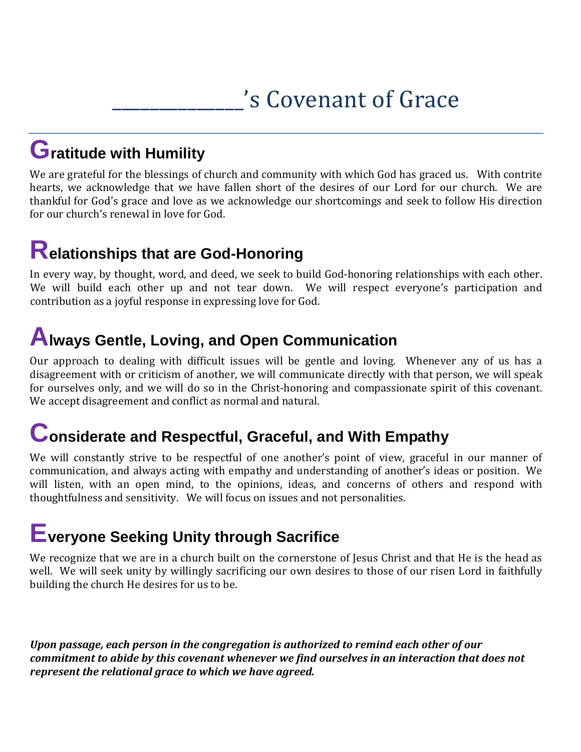# 's Covenant of Grace

### **Gratitude with Humility**

We are grateful for the blessings of church and community with which God has graced us. With contrite hearts, we acknowledge that we have fallen short of the desires of our Lord for our church. We are thankful for God's grace and love as we acknowledge our shortcomings and seek to follow His direction for our church's renewal in love for God.

# **Relationships that are God-Honoring**

In every way, by thought, word, and deed, we seek to build God-honoring relationships with each other. We will build each other up and not tear down. We will respect everyone's participation and contribution as a joyful response in expressing love for God.

### **Always Gentle, Loving, and Open Communication**

Our approach to dealing with difficult issues will be gentle and loving. Whenever any of us has a disagreement with or criticism of another, we will communicate directly with that person, we will speak for ourselves only, and we will do so in the Christ-honoring and compassionate spirit of this covenant. We accept disagreement and conflict as normal and natural.

### **Considerate and Respectful, Graceful, and With Empathy**

We will constantly strive to be respectful of one another's point of view, graceful in our manner of communication, and always acting with empathy and understanding of another's ideas or position. We will listen, with an open mind, to the opinions, ideas, and concerns of others and respond with thoughtfulness and sensitivity. We will focus on issues and not personalities.

## **Everyone Seeking Unity through Sacrifice**

We recognize that we are in a church built on the cornerstone of Jesus Christ and that He is the head as well. We will seek unity by willingly sacrificing our own desires to those of our risen Lord in faithfully building the church He desires for us to be.

*Upon passage, each person in the congregation is authorized to remind each other of our commitment to abide by this covenant whenever we find ourselves in an interaction that does not represent the relational grace to which we have agreed.*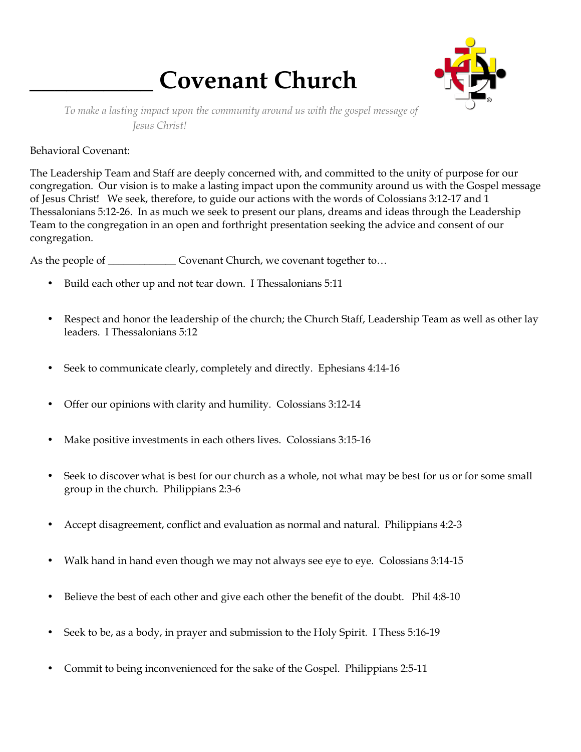# **\_\_\_\_\_\_\_\_\_\_ Covenant Church**



*To make a lasting impact upon the community around us with the gospel message of Jesus Christ!* 

#### Behavioral Covenant:

The Leadership Team and Staff are deeply concerned with, and committed to the unity of purpose for our congregation. Our vision is to make a lasting impact upon the community around us with the Gospel message of Jesus Christ! We seek, therefore, to guide our actions with the words of Colossians 3:12-17 and 1 Thessalonians 5:12-26. In as much we seek to present our plans, dreams and ideas through the Leadership Team to the congregation in an open and forthright presentation seeking the advice and consent of our congregation.

As the people of \_\_\_\_\_\_\_\_\_\_\_\_\_\_\_\_ Covenant Church, we covenant together to...

- Build each other up and not tear down. I Thessalonians 5:11
- Respect and honor the leadership of the church; the Church Staff, Leadership Team as well as other lay leaders. I Thessalonians 5:12
- Seek to communicate clearly, completely and directly. Ephesians 4:14-16
- Offer our opinions with clarity and humility. Colossians 3:12-14
- Make positive investments in each others lives. Colossians 3:15-16
- Seek to discover what is best for our church as a whole, not what may be best for us or for some small group in the church. Philippians 2:3-6
- Accept disagreement, conflict and evaluation as normal and natural. Philippians 4:2-3
- Walk hand in hand even though we may not always see eye to eye. Colossians 3:14-15
- Believe the best of each other and give each other the benefit of the doubt. Phil 4:8-10
- Seek to be, as a body, in prayer and submission to the Holy Spirit. I Thess 5:16-19
- Commit to being inconvenienced for the sake of the Gospel. Philippians 2:5-11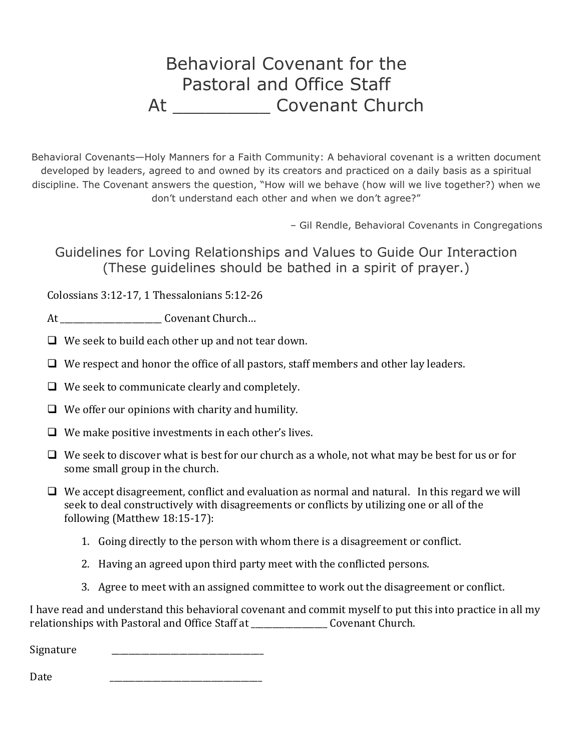### Behavioral Covenant for the Pastoral and Office Staff At \_\_\_\_\_\_\_\_\_\_\_\_\_\_ Covenant Church

Behavioral Covenants—Holy Manners for a Faith Community: A behavioral covenant is a written document developed by leaders, agreed to and owned by its creators and practiced on a daily basis as a spiritual discipline. The Covenant answers the question, "How will we behave (how will we live together?) when we don't understand each other and when we don't agree?"

– Gil Rendle, Behavioral Covenants in Congregations

Guidelines for Loving Relationships and Values to Guide Our Interaction (These guidelines should be bathed in a spirit of prayer.)

Colossians 3:12-17, 1 Thessalonians 5:12-26

At  $Covenant Church...$ 

 $\Box$  We seek to build each other up and not tear down.

- $\Box$  We respect and honor the office of all pastors, staff members and other lay leaders.
- $\Box$  We seek to communicate clearly and completely.
- $\Box$  We offer our opinions with charity and humility.
- $\Box$  We make positive investments in each other's lives.
- $\Box$  We seek to discover what is best for our church as a whole, not what may be best for us or for some small group in the church.
- $\Box$  We accept disagreement, conflict and evaluation as normal and natural. In this regard we will seek to deal constructively with disagreements or conflicts by utilizing one or all of the following (Matthew 18:15-17):
	- 1. Going directly to the person with whom there is a disagreement or conflict.
	- 2. Having an agreed upon third party meet with the conflicted persons.
	- 3. Agree to meet with an assigned committee to work out the disagreement or conflict.

I have read and understand this behavioral covenant and commit myself to put this into practice in all my relationships with Pastoral and Office Staff at \_\_\_\_\_\_\_\_\_\_\_\_\_\_\_\_\_\_ Covenant Church.

Signature

Date \_\_\_\_\_\_\_\_\_\_\_\_\_\_\_\_\_\_\_\_\_\_\_\_\_\_\_\_\_\_\_\_\_\_\_\_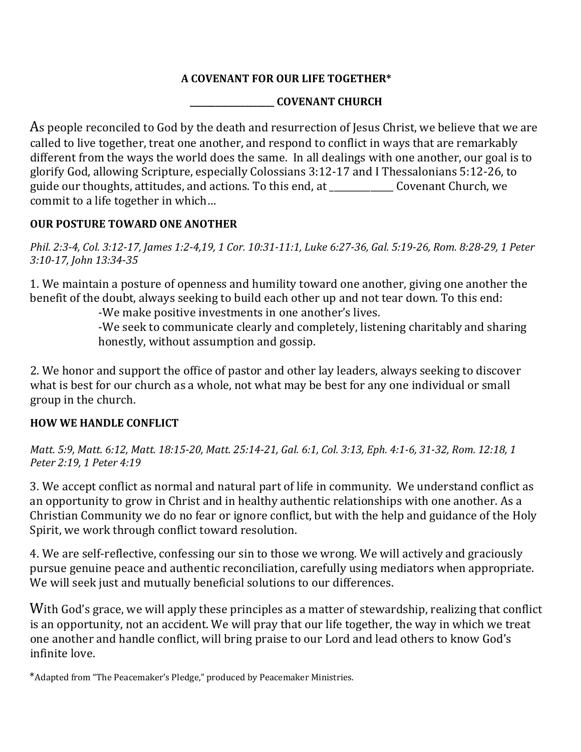#### **A COVENANT FOR OUR LIFE TOGETHER\***

#### **\_\_\_\_\_\_\_\_\_\_\_\_\_\_\_\_\_\_\_\_ COVENANT CHURCH**

As people reconciled to God by the death and resurrection of Jesus Christ, we believe that we are called to live together, treat one another, and respond to conflict in ways that are remarkably different from the ways the world does the same. In all dealings with one another, our goal is to glorify God, allowing Scripture, especially Colossians 3:12-17 and I Thessalonians 5:12-26, to guide our thoughts, attitudes, and actions. To this end, at \_\_\_\_\_\_\_\_\_\_\_\_\_\_ Covenant Church, we commit to a life together in which…

#### **OUR POSTURE TOWARD ONE ANOTHER**

*Phil. 2:3-4, Col. 3:12-17, James 1:2-4,19, 1 Cor. 10:31-11:1, Luke 6:27-36, Gal. 5:19-26, Rom. 8:28-29, 1 Peter 3:10-17, John 13:34-35* 

1. We maintain a posture of openness and humility toward one another, giving one another the benefit of the doubt, always seeking to build each other up and not tear down. To this end:

-We make positive investments in one another's lives.

-We seek to communicate clearly and completely, listening charitably and sharing honestly, without assumption and gossip.

2. We honor and support the office of pastor and other lay leaders, always seeking to discover what is best for our church as a whole, not what may be best for any one individual or small group in the church.

#### **HOW WE HANDLE CONFLICT**

*Matt. 5:9, Matt. 6:12, Matt. 18:15-20, Matt. 25:14-21, Gal. 6:1, Col. 3:13, Eph. 4:1-6, 31-32, Rom. 12:18, 1 Peter 2:19, 1 Peter 4:19* 

3. We accept conflict as normal and natural part of life in community. We understand conflict as an opportunity to grow in Christ and in healthy authentic relationships with one another. As a Christian Community we do no fear or ignore conflict, but with the help and guidance of the Holy Spirit, we work through conflict toward resolution.

4. We are self-reflective, confessing our sin to those we wrong. We will actively and graciously pursue genuine peace and authentic reconciliation, carefully using mediators when appropriate. We will seek just and mutually beneficial solutions to our differences.

With God's grace, we will apply these principles as a matter of stewardship, realizing that conflict is an opportunity, not an accident. We will pray that our life together, the way in which we treat one another and handle conflict, will bring praise to our Lord and lead others to know God's infinite love.

\*Adapted from "The Peacemaker's Pledge," produced by Peacemaker Ministries.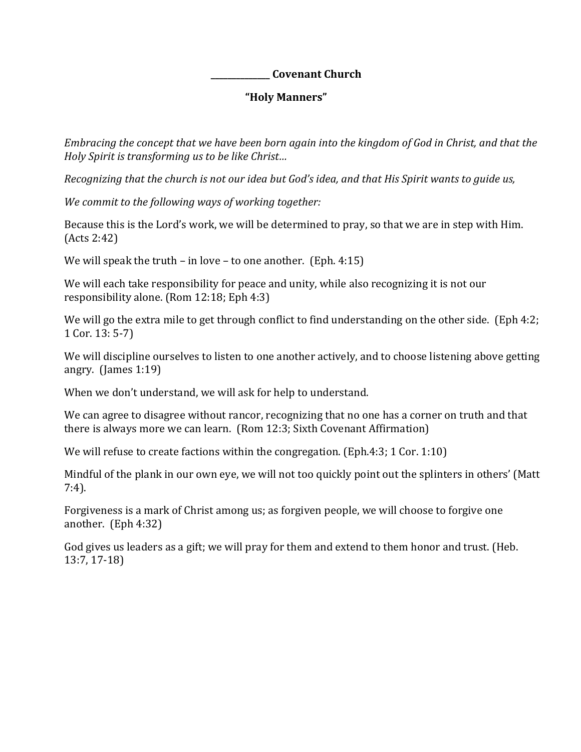#### **\_\_\_\_\_\_\_\_\_\_\_\_\_\_ Covenant Church**

#### **"Holy Manners"**

*Embracing the concept that we have been born again into the kingdom of God in Christ, and that the Holy Spirit is transforming us to be like Christ…* 

*Recognizing that the church is not our idea but God's idea, and that His Spirit wants to guide us,* 

*We commit to the following ways of working together:* 

Because this is the Lord's work, we will be determined to pray, so that we are in step with Him. (Acts 2:42)

We will speak the truth – in love – to one another. (Eph. 4:15)

We will each take responsibility for peace and unity, while also recognizing it is not our responsibility alone. (Rom 12:18; Eph 4:3)

We will go the extra mile to get through conflict to find understanding on the other side. (Eph 4:2; 1 Cor. 13: 5-7)

We will discipline ourselves to listen to one another actively, and to choose listening above getting angry. (James 1:19)

When we don't understand, we will ask for help to understand.

We can agree to disagree without rancor, recognizing that no one has a corner on truth and that there is always more we can learn. (Rom 12:3; Sixth Covenant Affirmation)

We will refuse to create factions within the congregation. (Eph.4:3; 1 Cor. 1:10)

Mindful of the plank in our own eye, we will not too quickly point out the splinters in others' (Matt 7:4).

Forgiveness is a mark of Christ among us; as forgiven people, we will choose to forgive one another. (Eph 4:32)

God gives us leaders as a gift; we will pray for them and extend to them honor and trust. (Heb. 13:7, 17-18)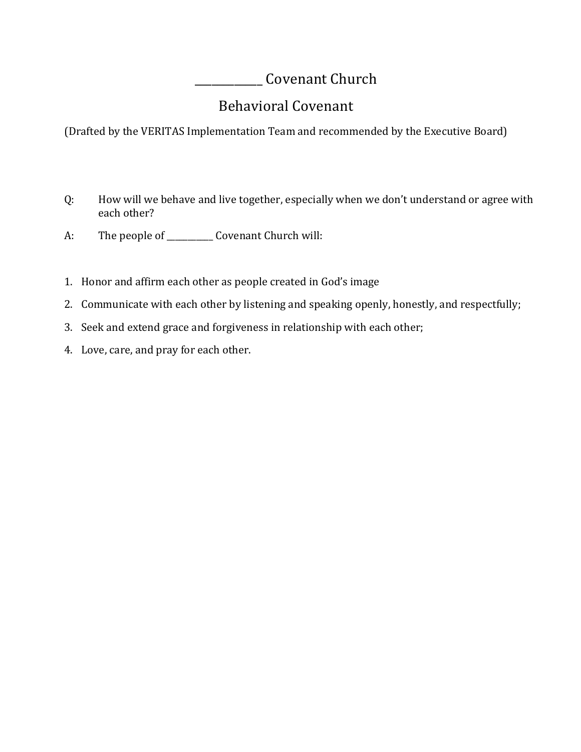Covenant Church

### Behavioral Covenant

(Drafted by the VERITAS Implementation Team and recommended by the Executive Board)

- Q: How will we behave and live together, especially when we don't understand or agree with each other?
- A: The people of \_\_\_\_\_\_\_\_\_\_\_\_\_ Covenant Church will:
- 1. Honor and affirm each other as people created in God's image
- 2. Communicate with each other by listening and speaking openly, honestly, and respectfully;
- 3. Seek and extend grace and forgiveness in relationship with each other;
- 4. Love, care, and pray for each other.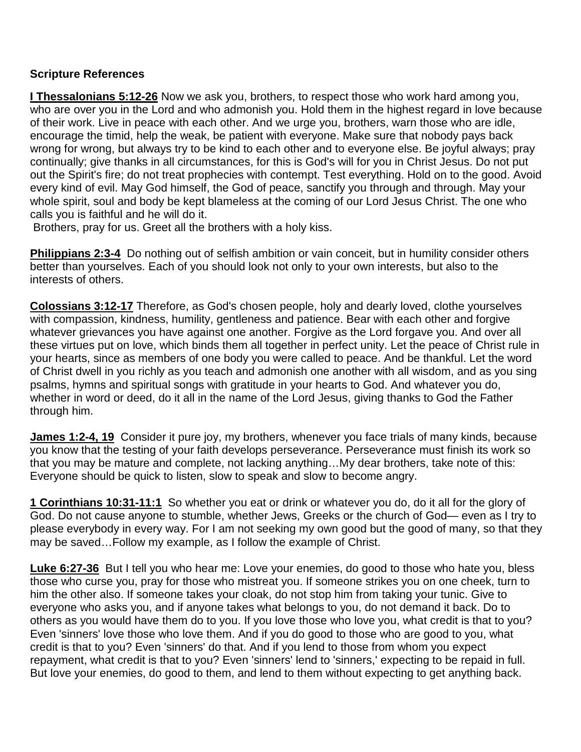#### **Scripture References**

**I Thessalonians 5:12-26** Now we ask you, brothers, to respect those who work hard among you, who are over you in the Lord and who admonish you. Hold them in the highest regard in love because of their work. Live in peace with each other. And we urge you, brothers, warn those who are idle, encourage the timid, help the weak, be patient with everyone. Make sure that nobody pays back wrong for wrong, but always try to be kind to each other and to everyone else. Be joyful always; pray continually; give thanks in all circumstances, for this is God's will for you in Christ Jesus. Do not put out the Spirit's fire; do not treat prophecies with contempt. Test everything. Hold on to the good. Avoid every kind of evil. May God himself, the God of peace, sanctify you through and through. May your whole spirit, soul and body be kept blameless at the coming of our Lord Jesus Christ. The one who calls you is faithful and he will do it.

Brothers, pray for us. Greet all the brothers with a holy kiss.

**Philippians 2:3-4** Do nothing out of selfish ambition or vain conceit, but in humility consider others better than yourselves. Each of you should look not only to your own interests, but also to the interests of others.

**Colossians 3:12-17** Therefore, as God's chosen people, holy and dearly loved, clothe yourselves with compassion, kindness, humility, gentleness and patience. Bear with each other and forgive whatever grievances you have against one another. Forgive as the Lord forgave you. And over all these virtues put on love, which binds them all together in perfect unity. Let the peace of Christ rule in your hearts, since as members of one body you were called to peace. And be thankful. Let the word of Christ dwell in you richly as you teach and admonish one another with all wisdom, and as you sing psalms, hymns and spiritual songs with gratitude in your hearts to God. And whatever you do, whether in word or deed, do it all in the name of the Lord Jesus, giving thanks to God the Father through him.

**James 1:2-4, 19** Consider it pure joy, my brothers, whenever you face trials of many kinds, because you know that the testing of your faith develops perseverance. Perseverance must finish its work so that you may be mature and complete, not lacking anything…My dear brothers, take note of this: Everyone should be quick to listen, slow to speak and slow to become angry.

**1 Corinthians 10:31-11:1** So whether you eat or drink or whatever you do, do it all for the glory of God. Do not cause anyone to stumble, whether Jews, Greeks or the church of God— even as I try to please everybody in every way. For I am not seeking my own good but the good of many, so that they may be saved…Follow my example, as I follow the example of Christ.

**Luke 6:27-36** But I tell you who hear me: Love your enemies, do good to those who hate you, bless those who curse you, pray for those who mistreat you. If someone strikes you on one cheek, turn to him the other also. If someone takes your cloak, do not stop him from taking your tunic. Give to everyone who asks you, and if anyone takes what belongs to you, do not demand it back. Do to others as you would have them do to you. If you love those who love you, what credit is that to you? Even 'sinners' love those who love them. And if you do good to those who are good to you, what credit is that to you? Even 'sinners' do that. And if you lend to those from whom you expect repayment, what credit is that to you? Even 'sinners' lend to 'sinners,' expecting to be repaid in full. But love your enemies, do good to them, and lend to them without expecting to get anything back.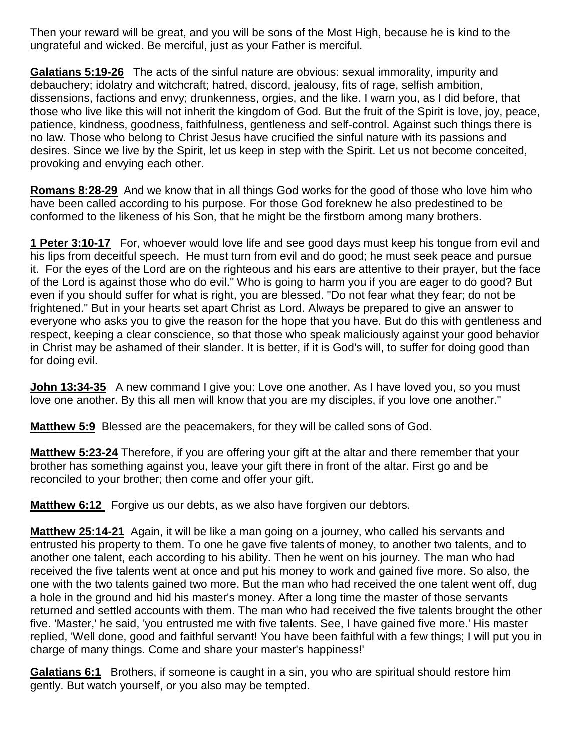Then your reward will be great, and you will be sons of the Most High, because he is kind to the ungrateful and wicked. Be merciful, just as your Father is merciful.

**Galatians 5:19-26** The acts of the sinful nature are obvious: sexual immorality, impurity and debauchery; idolatry and witchcraft; hatred, discord, jealousy, fits of rage, selfish ambition, dissensions, factions and envy; drunkenness, orgies, and the like. I warn you, as I did before, that those who live like this will not inherit the kingdom of God. But the fruit of the Spirit is love, joy, peace, patience, kindness, goodness, faithfulness, gentleness and self-control. Against such things there is no law. Those who belong to Christ Jesus have crucified the sinful nature with its passions and desires. Since we live by the Spirit, let us keep in step with the Spirit. Let us not become conceited, provoking and envying each other.

**Romans 8:28-29** And we know that in all things God works for the good of those who love him who have been called according to his purpose. For those God foreknew he also predestined to be conformed to the likeness of his Son, that he might be the firstborn among many brothers.

**1 Peter 3:10-17** For, whoever would love life and see good days must keep his tongue from evil and his lips from deceitful speech. He must turn from evil and do good; he must seek peace and pursue it. For the eyes of the Lord are on the righteous and his ears are attentive to their prayer, but the face of the Lord is against those who do evil." Who is going to harm you if you are eager to do good? But even if you should suffer for what is right, you are blessed. "Do not fear what they fear; do not be frightened." But in your hearts set apart Christ as Lord. Always be prepared to give an answer to everyone who asks you to give the reason for the hope that you have. But do this with gentleness and respect, keeping a clear conscience, so that those who speak maliciously against your good behavior in Christ may be ashamed of their slander. It is better, if it is God's will, to suffer for doing good than for doing evil.

**John 13:34-35** A new command I give you: Love one another. As I have loved you, so you must love one another. By this all men will know that you are my disciples, if you love one another."

**Matthew 5:9** Blessed are the peacemakers, for they will be called sons of God.

**Matthew 5:23-24** Therefore, if you are offering your gift at the altar and there remember that your brother has something against you, leave your gift there in front of the altar. First go and be reconciled to your brother; then come and offer your gift.

**Matthew 6:12** Forgive us our debts, as we also have forgiven our debtors.

**Matthew 25:14-21** Again, it will be like a man going on a journey, who called his servants and entrusted his property to them. To one he gave five talents of money, to another two talents, and to another one talent, each according to his ability. Then he went on his journey. The man who had received the five talents went at once and put his money to work and gained five more. So also, the one with the two talents gained two more. But the man who had received the one talent went off, dug a hole in the ground and hid his master's money. After a long time the master of those servants returned and settled accounts with them. The man who had received the five talents brought the other five. 'Master,' he said, 'you entrusted me with five talents. See, I have gained five more.' His master replied, 'Well done, good and faithful servant! You have been faithful with a few things; I will put you in charge of many things. Come and share your master's happiness!'

**Galatians 6:1** Brothers, if someone is caught in a sin, you who are spiritual should restore him gently. But watch yourself, or you also may be tempted.